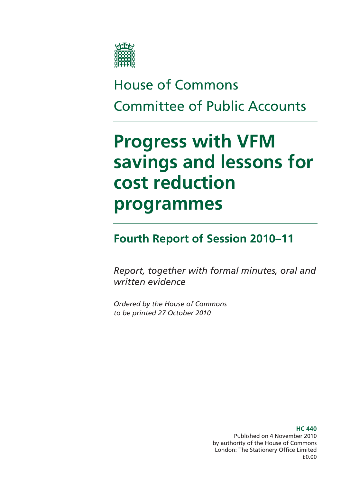

# House of Commons Committee of Public Accounts

# **Progress with VFM savings and lessons for cost reduction programmes**

# **Fourth Report of Session 2010–11**

*Report, together with formal minutes, oral and written evidence* 

*Ordered by the House of Commons to be printed 27 October 2010* 

> Published on 4 November 2010 by authority of the House of Commons London: The Stationery Office Limited £0.00

### **HC 440**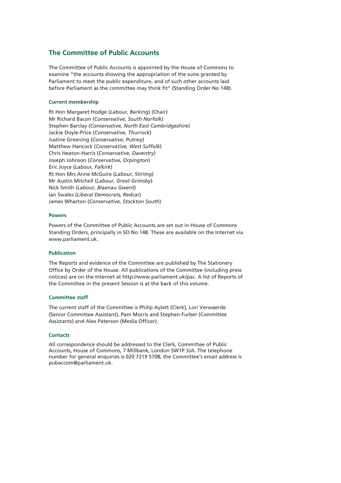### **The Committee of Public Accounts**

The Committee of Public Accounts is appointed by the House of Commons to examine "the accounts showing the appropriation of the sums granted by Parliament to meet the public expenditure, and of such other accounts laid before Parliament as the committee may think fit" (Standing Order No 148).

### **Current membership**

Rt Hon Margaret Hodge (*Labour, Barking*) (Chair) Mr Richard Bacon (*Conservative, South Norfolk*) Stephen Barclay (*Conservative, North East Cambridgeshire*) Jackie Doyle-Price (*Conservative, Thurrock*) Justine Greening (*Conservative, Putney*) Matthew Hancock (*Conservative, West Suffolk*) Chris Heaton-Harris (*Conservative, Daventry*) Joseph Johnson (*Conservative, Orpington*) Eric Joyce (*Labour, Falkirk*) Rt Hon Mrs Anne McGuire (*Labour, Stirling*) Mr Austin Mitchell (*Labour, Great Grimsby*) Nick Smith (*Labour, Blaenau Gwent*) Ian Swales (*Liberal Democrats, Redcar*) James Wharton (*Conservative, Stockton South*)

### **Powers**

Powers of the Committee of Public Accounts are set out in House of Commons Standing Orders, principally in SO No 148. These are available on the Internet via www.parliament.uk.

### **Publication**

The Reports and evidence of the Committee are published by The Stationery Office by Order of the House. All publications of the Committee (including press notices) are on the Internet at http://www.parliament.uk/pac. A list of Reports of the Committee in the present Session is at the back of this volume.

### **Committee staff**

The current staff of the Committee is Philip Aylett (Clerk), Lori Verwaerde (Senior Committee Assistant), Pam Morris and Stephen Furber (Committee Assistants) and Alex Paterson (Media Officer).

### **Contacts**

All correspondence should be addressed to the Clerk, Committee of Public Accounts, House of Commons, 7 Millbank, London SW1P 3JA. The telephone number for general enquiries is 020 7219 5708; the Committee's email address is pubaccom@parliament.uk.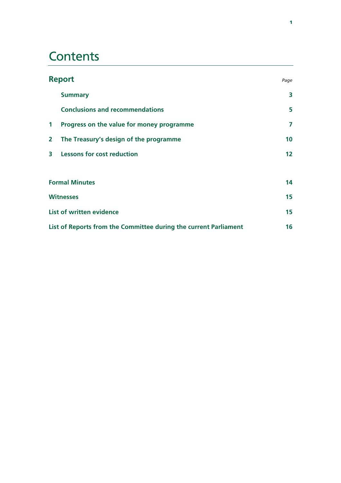# **Contents**

| <b>Report</b>                   |                                                                  | Page |  |
|---------------------------------|------------------------------------------------------------------|------|--|
|                                 | <b>Summary</b>                                                   | 3    |  |
|                                 | <b>Conclusions and recommendations</b>                           | 5    |  |
| $\mathbf{1}$                    | Progress on the value for money programme                        | 7    |  |
| $\overline{2}$                  | The Treasury's design of the programme                           | 10   |  |
| 3                               | <b>Lessons for cost reduction</b>                                | 12   |  |
|                                 |                                                                  |      |  |
| <b>Formal Minutes</b>           |                                                                  | 14   |  |
| <b>Witnesses</b>                |                                                                  | 15   |  |
| <b>List of written evidence</b> |                                                                  |      |  |
|                                 | List of Reports from the Committee during the current Parliament |      |  |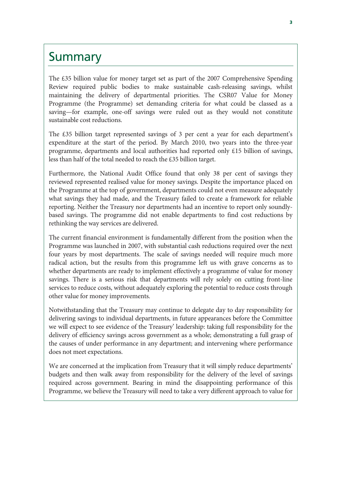### **Summary**

The £35 billion value for money target set as part of the 2007 Comprehensive Spending Review required public bodies to make sustainable cash-releasing savings, whilst maintaining the delivery of departmental priorities. The CSR07 Value for Money Programme (the Programme) set demanding criteria for what could be classed as a saving—for example, one-off savings were ruled out as they would not constitute sustainable cost reductions.

The £35 billion target represented savings of 3 per cent a year for each department's expenditure at the start of the period. By March 2010, two years into the three-year programme, departments and local authorities had reported only £15 billion of savings, less than half of the total needed to reach the £35 billion target.

Furthermore, the National Audit Office found that only 38 per cent of savings they reviewed represented realised value for money savings. Despite the importance placed on the Programme at the top of government, departments could not even measure adequately what savings they had made, and the Treasury failed to create a framework for reliable reporting. Neither the Treasury nor departments had an incentive to report only soundlybased savings. The programme did not enable departments to find cost reductions by rethinking the way services are delivered.

The current financial environment is fundamentally different from the position when the Programme was launched in 2007, with substantial cash reductions required over the next four years by most departments. The scale of savings needed will require much more radical action, but the results from this programme left us with grave concerns as to whether departments are ready to implement effectively a programme of value for money savings. There is a serious risk that departments will rely solely on cutting front-line services to reduce costs, without adequately exploring the potential to reduce costs through other value for money improvements.

Notwithstanding that the Treasury may continue to delegate day to day responsibility for delivering savings to individual departments, in future appearances before the Committee we will expect to see evidence of the Treasury' leadership: taking full responsibility for the delivery of efficiency savings across government as a whole; demonstrating a full grasp of the causes of under performance in any department; and intervening where performance does not meet expectations.

We are concerned at the implication from Treasury that it will simply reduce departments' budgets and then walk away from responsibility for the delivery of the level of savings required across government. Bearing in mind the disappointing performance of this Programme, we believe the Treasury will need to take a very different approach to value for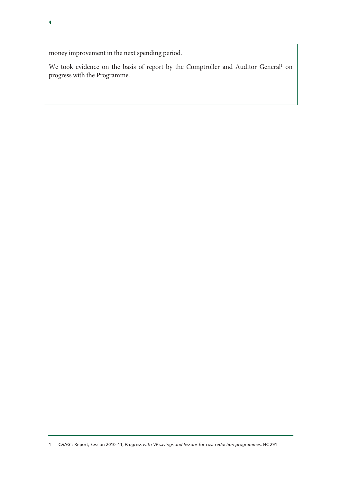money improvement in the next spending period.

We took evidence on the basis of report by the Comptroller and Auditor General<sup>1</sup> on progress with the Programme.

1 C&AG's Report, Session 2010–11, *Progress with VF savings and lessons for cost reduction programmes*, HC 291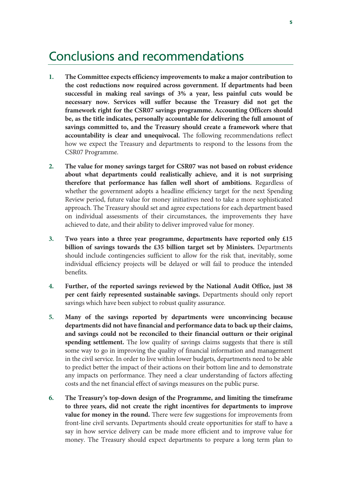### Conclusions and recommendations

- **1. The Committee expects efficiency improvements to make a major contribution to the cost reductions now required across government. If departments had been successful in making real savings of 3% a year, less painful cuts would be necessary now. Services will suffer because the Treasury did not get the framework right for the CSR07 savings programme. Accounting Officers should be, as the title indicates, personally accountable for delivering the full amount of savings committed to, and the Treasury should create a framework where that accountability is clear and unequivocal.** The following recommendations reflect how we expect the Treasury and departments to respond to the lessons from the CSR07 Programme.
- **2. The value for money savings target for CSR07 was not based on robust evidence about what departments could realistically achieve, and it is not surprising therefore that performance has fallen well short of ambitions.** Regardless of whether the government adopts a headline efficiency target for the next Spending Review period, future value for money initiatives need to take a more sophisticated approach. The Treasury should set and agree expectations for each department based on individual assessments of their circumstances, the improvements they have achieved to date, and their ability to deliver improved value for money.
- **3. Two years into a three year programme, departments have reported only £15 billion of savings towards the £35 billion target set by Ministers.** Departments should include contingencies sufficient to allow for the risk that, inevitably, some individual efficiency projects will be delayed or will fail to produce the intended benefits.
- **4. Further, of the reported savings reviewed by the National Audit Office, just 38 per cent fairly represented sustainable savings.** Departments should only report savings which have been subject to robust quality assurance.
- **5. Many of the savings reported by departments were unconvincing because departments did not have financial and performance data to back up their claims, and savings could not be reconciled to their financial outturn or their original spending settlement.** The low quality of savings claims suggests that there is still some way to go in improving the quality of financial information and management in the civil service. In order to live within lower budgets, departments need to be able to predict better the impact of their actions on their bottom line and to demonstrate any impacts on performance. They need a clear understanding of factors affecting costs and the net financial effect of savings measures on the public purse.
- **6. The Treasury's top-down design of the Programme, and limiting the timeframe to three years, did not create the right incentives for departments to improve value for money in the round.** There were few suggestions for improvements from front-line civil servants. Departments should create opportunities for staff to have a say in how service delivery can be made more efficient and to improve value for money. The Treasury should expect departments to prepare a long term plan to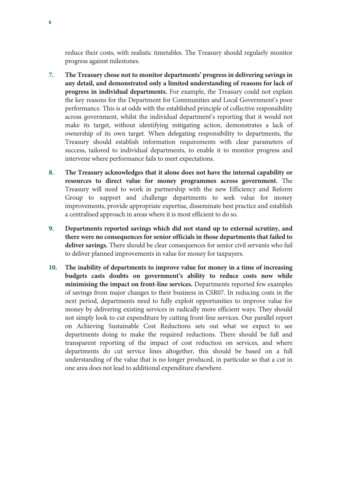reduce their costs, with realistic timetables. The Treasury should regularly monitor progress against milestones.

- **7. The Treasury chose not to monitor departments' progress in delivering savings in any detail, and demonstrated only a limited understanding of reasons for lack of progress in individual departments.** For example, the Treasury could not explain the key reasons for the Department for Communities and Local Government's poor performance. This is at odds with the established principle of collective responsibility across government, whilst the individual department's reporting that it would not make its target, without identifying mitigating action, demonstrates a lack of ownership of its own target. When delegating responsibility to departments, the Treasury should establish information requirements with clear parameters of success, tailored to individual departments, to enable it to monitor progress and intervene where performance fails to meet expectations.
- **8. The Treasury acknowledges that it alone does not have the internal capability or resources to direct value for money programmes across government.** The Treasury will need to work in partnership with the new Efficiency and Reform Group to support and challenge departments to seek value for money improvements, provide appropriate expertise, disseminate best practice and establish a centralised approach in areas where it is most efficient to do so.
- **9. Departments reported savings which did not stand up to external scrutiny, and there were no consequences for senior officials in those departments that failed to deliver savings.** There should be clear consequences for senior civil servants who fail to deliver planned improvements in value for money for taxpayers.
- **10. The inability of departments to improve value for money in a time of increasing budgets casts doubts on government's ability to reduce costs now while minimising the impact on front-line services.** Departments reported few examples of savings from major changes to their business in CSR07. In reducing costs in the next period, departments need to fully exploit opportunities to improve value for money by delivering existing services in radically more efficient ways. They should not simply look to cut expenditure by cutting front-line services. Our parallel report on Achieving Sustainable Cost Reductions sets out what we expect to see departments doing to make the required reductions. There should be full and transparent reporting of the impact of cost reduction on services, and where departments do cut service lines altogether, this should be based on a full understanding of the value that is no longer produced, in particular so that a cut in one area does not lead to additional expenditure elsewhere.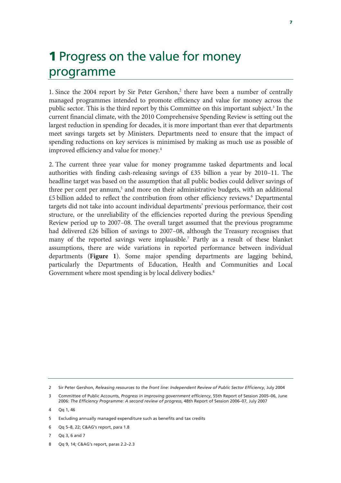## **1 Progress on the value for money** programme

1. Since the 2004 report by Sir Peter Gershon,<sup>2</sup> there have been a number of centrally managed programmes intended to promote efficiency and value for money across the public sector. This is the third report by this Committee on this important subject.<sup>3</sup> In the current financial climate, with the 2010 Comprehensive Spending Review is setting out the largest reduction in spending for decades, it is more important than ever that departments meet savings targets set by Ministers. Departments need to ensure that the impact of spending reductions on key services is minimised by making as much use as possible of improved efficiency and value for money.4

2. The current three year value for money programme tasked departments and local authorities with finding cash-releasing savings of £35 billion a year by 2010–11. The headline target was based on the assumption that all public bodies could deliver savings of three per cent per annum,<sup>5</sup> and more on their administrative budgets, with an additional £5 billion added to reflect the contribution from other efficiency reviews.<sup>6</sup> Departmental targets did not take into account individual departments' previous performance, their cost structure, or the unreliability of the efficiencies reported during the previous Spending Review period up to 2007–08. The overall target assumed that the previous programme had delivered £26 billion of savings to 2007–08, although the Treasury recognises that many of the reported savings were implausible.7 Partly as a result of these blanket assumptions, there are wide variations in reported performance between individual departments (**Figure 1**). Some major spending departments are lagging behind, particularly the Departments of Education, Health and Communities and Local Government where most spending is by local delivery bodies.<sup>8</sup>

<sup>2</sup> Sir Peter Gershon, *Releasing resources to the front line: Independent Review of Public Sector Efficiency*, July 2004

<sup>3</sup> Committee of Public Accounts, *Progress in improving government efficiency*, 55th Report of Session 2005–06, June 2006: *The Efficiency Programme: A second review of progress*, 48th Report of Session 2006–07, July 2007

<sup>4</sup> Qq 1, 46

<sup>5</sup> Excluding annually managed expenditure such as benefits and tax credits

<sup>6</sup> Qq 5–8, 22; C&AG's report, para 1.8

<sup>7</sup> Qq 3, 6 and 7

<sup>8</sup> Qq 9, 14; C&AG's report, paras 2.2–2.3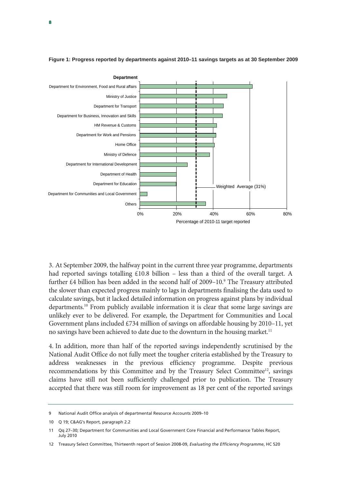

**Figure 1: Progress reported by departments against 2010–11 savings targets as at 30 September 2009** 

3. At September 2009, the halfway point in the current three year programme, departments had reported savings totalling  $£10.8$  billion – less than a third of the overall target. A further £4 billion has been added in the second half of 2009–10.<sup>9</sup> The Treasury attributed the slower than expected progress mainly to lags in departments finalising the data used to calculate savings, but it lacked detailed information on progress against plans by individual departments.10 From publicly available information it is clear that some large savings are unlikely ever to be delivered. For example, the Department for Communities and Local Government plans included £734 million of savings on affordable housing by 2010–11, yet no savings have been achieved to date due to the downturn in the housing market.<sup>11</sup>

4. In addition, more than half of the reported savings independently scrutinised by the National Audit Office do not fully meet the tougher criteria established by the Treasury to address weaknesses in the previous efficiency programme. Despite previous recommendations by this Committee and by the Treasury Select Committee<sup>12</sup>, savings claims have still not been sufficiently challenged prior to publication. The Treasury accepted that there was still room for improvement as 18 per cent of the reported savings

<sup>9</sup> National Audit Office analysis of departmental Resource Accounts 2009–10

<sup>10</sup> Q 19; C&AG's Report, paragraph 2.2

<sup>11</sup> Qq 27–30; Department for Communities and Local Government Core Financial and Performance Tables Report, July 2010

<sup>12</sup> Treasury Select Committee, Thirteenth report of Session 2008-09, *Evaluating the Efficiency Programme*, HC 520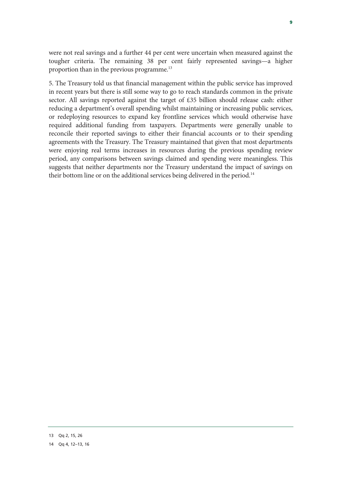were not real savings and a further 44 per cent were uncertain when measured against the tougher criteria. The remaining 38 per cent fairly represented savings—a higher proportion than in the previous programme.13

5. The Treasury told us that financial management within the public service has improved in recent years but there is still some way to go to reach standards common in the private sector. All savings reported against the target of £35 billion should release cash: either reducing a department's overall spending whilst maintaining or increasing public services, or redeploying resources to expand key frontline services which would otherwise have required additional funding from taxpayers. Departments were generally unable to reconcile their reported savings to either their financial accounts or to their spending agreements with the Treasury. The Treasury maintained that given that most departments were enjoying real terms increases in resources during the previous spending review period, any comparisons between savings claimed and spending were meaningless. This suggests that neither departments nor the Treasury understand the impact of savings on their bottom line or on the additional services being delivered in the period.<sup>14</sup>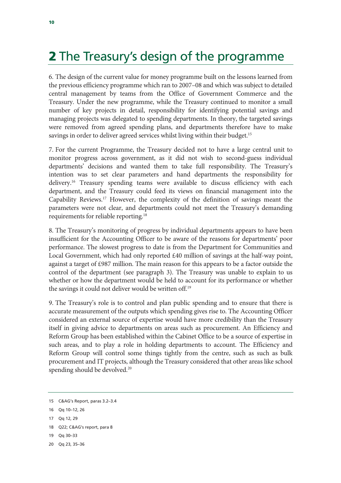# 2 The Treasury's design of the programme

6. The design of the current value for money programme built on the lessons learned from the previous efficiency programme which ran to 2007–08 and which was subject to detailed central management by teams from the Office of Government Commerce and the Treasury. Under the new programme, while the Treasury continued to monitor a small number of key projects in detail, responsibility for identifying potential savings and managing projects was delegated to spending departments. In theory, the targeted savings were removed from agreed spending plans, and departments therefore have to make savings in order to deliver agreed services whilst living within their budget.<sup>15</sup>

7. For the current Programme, the Treasury decided not to have a large central unit to monitor progress across government, as it did not wish to second-guess individual departments' decisions and wanted them to take full responsibility. The Treasury's intention was to set clear parameters and hand departments the responsibility for delivery.16 Treasury spending teams were available to discuss efficiency with each department, and the Treasury could feed its views on financial management into the Capability Reviews.17 However, the complexity of the definition of savings meant the parameters were not clear, and departments could not meet the Treasury's demanding requirements for reliable reporting.18

8. The Treasury's monitoring of progress by individual departments appears to have been insufficient for the Accounting Officer to be aware of the reasons for departments' poor performance. The slowest progress to date is from the Department for Communities and Local Government, which had only reported £40 million of savings at the half-way point, against a target of £987 million. The main reason for this appears to be a factor outside the control of the department (see paragraph 3). The Treasury was unable to explain to us whether or how the department would be held to account for its performance or whether the savings it could not deliver would be written off.19

9. The Treasury's role is to control and plan public spending and to ensure that there is accurate measurement of the outputs which spending gives rise to. The Accounting Officer considered an external source of expertise would have more credibility than the Treasury itself in giving advice to departments on areas such as procurement. An Efficiency and Reform Group has been established within the Cabinet Office to be a source of expertise in such areas, and to play a role in holding departments to account. The Efficiency and Reform Group will control some things tightly from the centre, such as such as bulk procurement and IT projects, although the Treasury considered that other areas like school spending should be devolved.<sup>20</sup>

- 18 Q22; C&AG's report, para 8
- 19 Qq 30–33
- 20 Qq 23, 35–36

<sup>15</sup> C&AG's Report, paras 3.2–3.4

<sup>16</sup> Qq 10–12, 26

<sup>17</sup> Qq 12, 29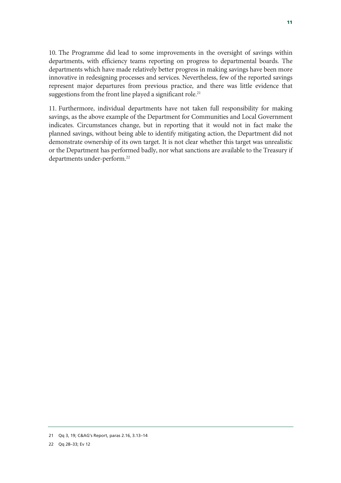10. The Programme did lead to some improvements in the oversight of savings within departments, with efficiency teams reporting on progress to departmental boards. The departments which have made relatively better progress in making savings have been more innovative in redesigning processes and services. Nevertheless, few of the reported savings represent major departures from previous practice, and there was little evidence that suggestions from the front line played a significant role.<sup>21</sup>

11. Furthermore, individual departments have not taken full responsibility for making savings, as the above example of the Department for Communities and Local Government indicates. Circumstances change, but in reporting that it would not in fact make the planned savings, without being able to identify mitigating action, the Department did not demonstrate ownership of its own target. It is not clear whether this target was unrealistic or the Department has performed badly, nor what sanctions are available to the Treasury if departments under-perform.<sup>22</sup>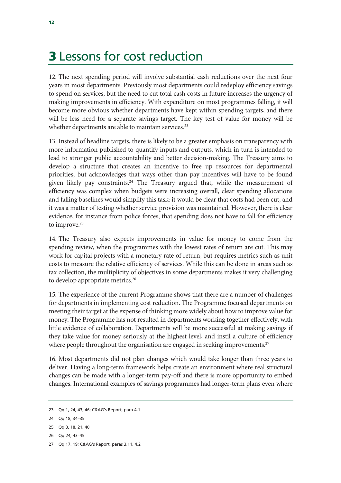### 3 Lessons for cost reduction

12. The next spending period will involve substantial cash reductions over the next four years in most departments. Previously most departments could redeploy efficiency savings to spend on services, but the need to cut total cash costs in future increases the urgency of making improvements in efficiency. With expenditure on most programmes falling, it will become more obvious whether departments have kept within spending targets, and there will be less need for a separate savings target. The key test of value for money will be whether departments are able to maintain services.<sup>23</sup>

13. Instead of headline targets, there is likely to be a greater emphasis on transparency with more information published to quantify inputs and outputs, which in turn is intended to lead to stronger public accountability and better decision-making. The Treasury aims to develop a structure that creates an incentive to free up resources for departmental priorities, but acknowledges that ways other than pay incentives will have to be found given likely pay constraints.<sup>24</sup> The Treasury argued that, while the measurement of efficiency was complex when budgets were increasing overall, clear spending allocations and falling baselines would simplify this task: it would be clear that costs had been cut, and it was a matter of testing whether service provision was maintained. However, there is clear evidence, for instance from police forces, that spending does not have to fall for efficiency to improve.<sup>25</sup>

14. The Treasury also expects improvements in value for money to come from the spending review, when the programmes with the lowest rates of return are cut. This may work for capital projects with a monetary rate of return, but requires metrics such as unit costs to measure the relative efficiency of services. While this can be done in areas such as tax collection, the multiplicity of objectives in some departments makes it very challenging to develop appropriate metrics.<sup>26</sup>

15. The experience of the current Programme shows that there are a number of challenges for departments in implementing cost reduction. The Programme focused departments on meeting their target at the expense of thinking more widely about how to improve value for money. The Programme has not resulted in departments working together effectively, with little evidence of collaboration. Departments will be more successful at making savings if they take value for money seriously at the highest level, and instil a culture of efficiency where people throughout the organisation are engaged in seeking improvements.<sup>27</sup>

16. Most departments did not plan changes which would take longer than three years to deliver. Having a long-term framework helps create an environment where real structural changes can be made with a longer-term pay-off and there is more opportunity to embed changes. International examples of savings programmes had longer-term plans even where

26 Qq 24, 43–45

<sup>23</sup> Qq 1, 24, 43, 46; C&AG's Report, para 4.1

<sup>24</sup> Qq 18, 34–35

<sup>25</sup> Qq 3, 18, 21, 40

<sup>27</sup> Qq 17, 19; C&AG's Report, paras 3.11, 4.2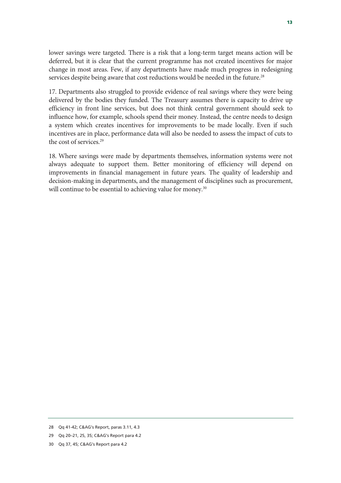lower savings were targeted. There is a risk that a long-term target means action will be deferred, but it is clear that the current programme has not created incentives for major change in most areas. Few, if any departments have made much progress in redesigning services despite being aware that cost reductions would be needed in the future.<sup>28</sup>

17. Departments also struggled to provide evidence of real savings where they were being delivered by the bodies they funded. The Treasury assumes there is capacity to drive up efficiency in front line services, but does not think central government should seek to influence how, for example, schools spend their money. Instead, the centre needs to design a system which creates incentives for improvements to be made locally. Even if such incentives are in place, performance data will also be needed to assess the impact of cuts to the cost of services.<sup>29</sup>

18. Where savings were made by departments themselves, information systems were not always adequate to support them. Better monitoring of efficiency will depend on improvements in financial management in future years. The quality of leadership and decision-making in departments, and the management of disciplines such as procurement, will continue to be essential to achieving value for money.<sup>30</sup>

30 Qq 37, 45; C&AG's Report para 4.2

<sup>28</sup> Qq 41-42; C&AG's Report, paras 3.11, 4.3

<sup>29</sup> Qq 20–21, 25, 35; C&AG's Report para 4.2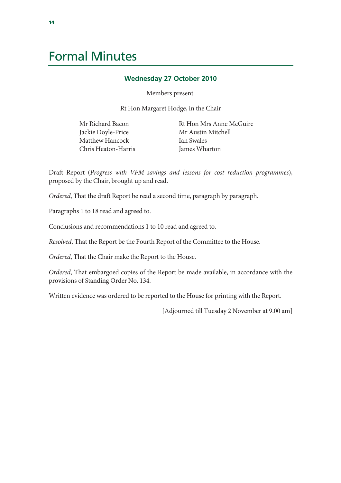## Formal Minutes

### **Wednesday 27 October 2010**

Members present:

Rt Hon Margaret Hodge, in the Chair

Mr Richard Bacon Jackie Doyle-Price Matthew Hancock Chris Heaton-Harris Rt Hon Mrs Anne McGuire Mr Austin Mitchell Ian Swales James Wharton

Draft Report (*Progress with VFM savings and lessons for cost reduction programmes*), proposed by the Chair, brought up and read.

*Ordered*, That the draft Report be read a second time, paragraph by paragraph.

Paragraphs 1 to 18 read and agreed to.

Conclusions and recommendations 1 to 10 read and agreed to.

*Resolved*, That the Report be the Fourth Report of the Committee to the House.

*Ordered*, That the Chair make the Report to the House.

*Ordered*, That embargoed copies of the Report be made available, in accordance with the provisions of Standing Order No. 134.

Written evidence was ordered to be reported to the House for printing with the Report.

[Adjourned till Tuesday 2 November at 9.00 am]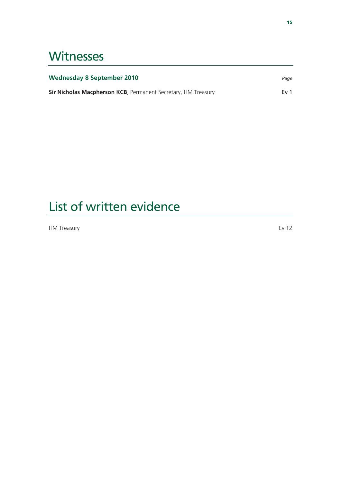## **Witnesses**

| <b>Wednesday 8 September 2010</b>                             | Page            |
|---------------------------------------------------------------|-----------------|
| Sir Nicholas Macpherson KCB, Permanent Secretary, HM Treasury | Ev <sub>1</sub> |

# List of written evidence

HM Treasury Ev 12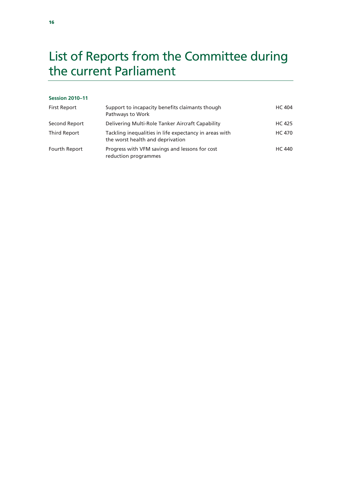# List of Reports from the Committee during the current Parliament

### **Session 2010–11**

| <b>First Report</b> | Support to incapacity benefits claimants though<br>Pathways to Work                        | <b>HC 404</b> |
|---------------------|--------------------------------------------------------------------------------------------|---------------|
| Second Report       | Delivering Multi-Role Tanker Aircraft Capability                                           | <b>HC 425</b> |
| Third Report        | Tackling inequalities in life expectancy in areas with<br>the worst health and deprivation | <b>HC 470</b> |
| Fourth Report       | Progress with VFM savings and lessons for cost<br>reduction programmes                     | <b>HC 440</b> |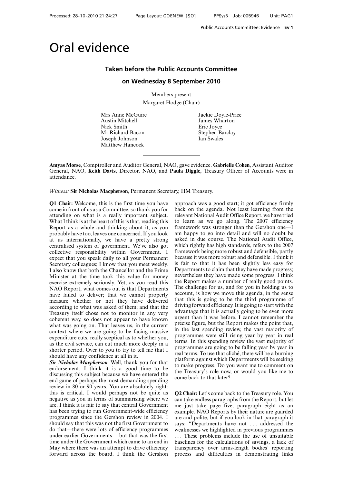### **Taken before the Public Accounts Committee**

### **on Wednesday 8 September 2010**

Members present

Margaret Hodge (Chair)

Mrs Anne McGuire Jackie Doyle-Price Austin Mitchell James Wharton Nick Smith<br>
Mr Richard Bacon<br>
Stephen Bacon<br>
Stephen Bacon Joseph Johnson Ian Swales Matthew Hancock

Stephen Barclay

**Amyas Morse**, Comptroller and Auditor General, NAO, gave evidence. **Gabrielle Cohen**, Assistant Auditor General, NAO, **Keith Davis**, Director, NAO, and **Paula Diggle**, Treasury Officer of Accounts were in attendance.

*Witness:* **Sir Nicholas Macpherson**, Permanent Secretary, HM Treasury.

**Q1 Chair:** Welcome, this is the first time you have come in front of us as a Committee, so thank you for attending on what is a really important subject. What I think is at the heart of this is that, reading this Report as a whole and thinking about it, as you probably have too, leaves one concerned. If you look at us internationally, we have a pretty strong centralised system of government. We've also got collective responsibility within Government. I expect that you speak daily to all your Permanent Secretary colleagues; I know that you meet weekly. I also know that both the Chancellor and the Prime Minister at the time took this value for money exercise extremely seriously. Yet, as you read this NAO Report, what comes out is that Departments have failed to deliver; that we cannot properly measure whether or not they have delivered according to what was asked of them; and that the Treasury itself chose not to monitor in any very coherent way, so does not appear to have known what was going on. That leaves us, in the current context where we are going to be facing massive expenditure cuts, really sceptical as to whether you, as the civil service, can cut much more deeply in a shorter period. Over to you to try to tell me that I should have any confidence at all in it.

*Sir Nicholas Macpherson*: Well, thank you for that endorsement. I think it is a good time to be discussing this subject because we have entered the end game of perhaps the most demanding spending review in 80 or 90 years. You are absolutely right: this is critical. I would perhaps not be quite as negative as you in terms of summarising where we are. I think it is fair to say that central Government has been trying to run Government-wide efficiency programmes since the Gershon review in 2004. I should say that this was not the first Government to do that—there were lots of efficiency programmes under earlier Governments— but that was the first time under the Government which came to an end in May where there was an attempt to drive efficiency forward across the board. I think the Gershon approach was a good start; it got efficiency firmly back on the agenda. Not least learning from the relevant National Audit Office Report, we have tried to learn as we go along. The 2007 efficiency framework was stronger than the Gershon one—I am happy to go into detail and will no doubt be asked in due course. The National Audit Office, which rightly has high standards, refers to the 2007 framework being more robust and defensible, partly because it was more robust and defensible. I think it is fair to that it has been slightly less easy for Departments to claim that they have made progress; nevertheless they have made some progress. I think the Report makes a number of really good points. The challenge for us, and for you in holding us to account, is how we move this agenda, in the sense that this is going to be the third programme of driving forward efficiency. It is going to start with the advantage that it is actually going to be even more urgent than it was before. I cannot remember the precise figure, but the Report makes the point that, in the last spending review, the vast majority of programmes were still rising year by year in real terms. In this spending review the vast majority of programmes are going to be falling year by year in real terms. To use that cliché, there will be a burning platform against which Departments will be seeking to make progress. Do you want me to comment on the Treasury's role now, or would you like me to come back to that later?

**Q2 Chair:** Let's come back to the Treasury role. You can take endless paragraphs from the Report, but let me just take page five, paragraph eight as an example. NAO Reports by their nature are guarded are and polite, but if you look in that paragraph it says: "Departments have not . . . addressed the weaknesses we highlighted in previous programmes . . . These problems include the use of unsuitable baselines for the calculations of savings, a lack of transparency over arms-length bodies' reporting process and difficulties in demonstrating links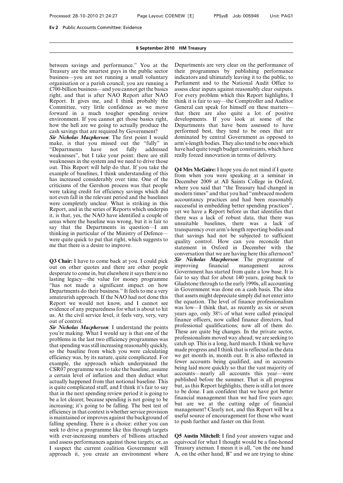between savings and performance." You at the Treasury are the smartest guys in the public sector business—you are not running a small voluntary organisation or a parish council; you are running a £700-billion business—and you cannot get the basics right, and that is after NAO Report after NAO Report. It gives me, and I think probably the Committee, very little confidence as we move forward in a much tougher spending review environment. If you cannot get those basics right, how the hell are we going to actually produce the cash savings that are required by Government?

*Sir Nicholas Macpherson*: The first point I would make, is that you missed out the "fully" in<br>"Departments have not fully addressed "Departments have not fully addressed weaknesses", but I take your point: there are still weaknesses in the system and we need to drive those out. This Report will help do that. If you take the example of baselines, I think understanding of this has increased considerably over time. One of the criticisms of the Gershon process was that people were taking credit for efficiency savings which did not even fall in the relevant period and the baselines were completely unclear. What is striking in this Report, and in the series of Reports which underpin it, is that, yes, the NAO have identified a couple of areas where the baseline was wrong, but it is fair to say that the Departments in question—I am thinking in particular of the Ministry of Defence were quite quick to put that right, which suggests to me that there is a desire to improve.

**Q3 Chair:** I have to come back at you. I could pick out on other quotes and there are other people desperate to come in, but elsewhere it says there is no lasting legacy—the value for money programme "has not made a significant impact on how Departments do their business." It feels to me a very amateurish approach. If the NAO had not done this Report we would not know, and I cannot see evidence of any preparedness for what is about to hit us. At the civil service level, it feels very, very, very out of control.

*Sir Nicholas Macpherson*: I understand the points you're making. What I would say is that one of the problems in the last two efficiency programmes was that spending was still increasing reasonably quickly, so the baseline from which you were calculating efficiency was, by its nature, quite complicated. For example, the approach which underpinned the CSR07 programme was to take the baseline, assume a certain level of inflation and then deduct what actually happened from that notional baseline. This is quite complicated stuff, and I think it's fair to say that in the next spending review period it is going to be a lot clearer, because spending is not going to be increasing; it's going to be falling. The best test of efficiency in that context is whether service provision is maintained or improves against the background of falling spending. There is a choice: either you can seek to drive a programme like this through targets with ever-increasing numbers of billions attached and assess performances against those targets; or, as I suspect the current coalition Government will approach it, you create an environment where Departments are very clear on the performance of their programmes by publishing performance indicators and ultimately leaving it to the public, to Parliament and to the National Audit Office to assess clear inputs against reasonably clear outputs. For every problem which this Report highlights, I think it is fair to say—the Comptroller and Auditor General can speak for himself on these matters that there are also quite a lot of positive developments. If you look at some of the Departments that have been assessed to have performed best, they tend to be ones that are dominated by central Government as opposed to arm's-length bodies. They also tend to be ones which have had quite tough budget constraints, which have really forced innovation in terms of delivery.

**Q4 Mrs McGuire:** I hope you do not mind if I quote from when you were speaking at a seminar in December 2009 at All Saints College in Oxford, where you said that "the Treasury had changed in modern times" and that you had "embraced modern accountancy practices and had been reasonably successful in embedding better spending practices", yet we have a Report before us that identifies that there was a lack of robust data, that there was unsuitable baselines, there was a lack of transparency over arm's-length reporting bodies and that savings had not be subjected to sufficient quality control. How can you reconcile that statement in Oxford in December with the conversation that we are having here this afternoon? *Sir Nicholas Macpherson*: The programme of improving financial management across Government has started from quite a low base. It is fair to say that for about 140 years, going back to Gladstone through to the early 1990s, all accounting in Government was done on a cash basis. The idea that assets might depreciate simply did not enter into the equation. The level of finance professionalism was low—I think that, as recently as six or seven years ago, only 38% of what were called principal finance officers, now called finance directors, had professional qualifications; now all of them do. These are quite big changes. In the private sector, professionalism moved way ahead; we are seeking to catch up. This is a long, hard march. I think we have made progress and I think that is reflected in the data we get month in, month out. It is also reflected in fewer accounts being qualified, and in accounts being laid more quickly so that the vast majority of accounts—nearly all accounts this year—were published before the summer. That is all progress but, as this Report highlights, there is still a lot more to be done. I am confident that we have got better financial management than we had five years ago; but are we at the cutting edge of financial management? Clearly not, and this Report will be a useful source of encouragement for those who want to push further and faster on this front.

**Q5 Austin Mitchell:** I find your answers vague and equivocal for what I thought would be a fine-honed Treasury axeman. I mean it is all, "on the one hand A, on the other hand, B" and we are trying to shine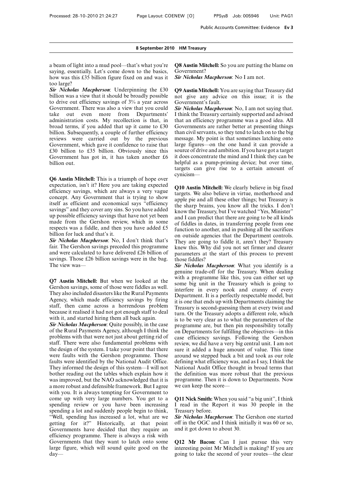a beam of light into a mud pool—that's what you're saying, essentially. Let's come down to the basics, how was this £35 billion figure fixed on and was it too large?

*Sir Nicholas Macpherson*: Underpinning the £30 billion was a view that it should be broadly possible to drive out efficiency savings of 3% a year across Government. There was also a view that you could take out even more from Departments' administration costs. My recollection is that, in broad terms, if you added that up it came to £30 billion. Subsequently, a couple of further efficiency reviews were carried out by the previous Government, which gave it confidence to raise that £30 billion to £35 billion. Obviously since this Government has got in, it has taken another £6 billion out.

**Q6 Austin Mitchell:** This is a triumph of hope over expectation, isn't it? Here you are taking expected efficiency savings, which are always a very vague concept. Any Government that is trying to show itself as efficient and economical says "efficiency savings" and they cover any sins. So you have added up possible efficiency savings that have not yet been made from the Gershon review, which in some respects was a fiddle, and then you have added £5 billion for luck and that's it.

*Sir Nicholas Macpherson*: No, I don't think that's fair. The Gershon savings preceded this programme and were calculated to have delivered £26 billion of savings. Those £26 billion savings were in the bag. The view was—

**Q7 Austin Mitchell:** But when we looked at the Gershon savings, some of those were fiddles as well. They also included disasters like the Rural Payments Agency, which made efficiency savings by firing staff, then came across a horrendous problem because it realised it had not got enough staff to deal with it, and started hiring them all back again.

*Sir Nicholas Macpherson*: Quite possibly, in the case of the Rural Payments Agency, although I think the problems with that were not just about getting rid of staff. There were also fundamental problems with the design of the system. I take your point that there were faults with the Gershon programme. Those faults were identified by the National Audit Office. They informed the design of this system—I will not bother reading out the tables which explain how it was improved, but the NAO acknowledged that it is a more robust and defensible framework. But I agree with you. It is always tempting for Government to come up with very large numbers. You get to a spending review or you have been increasing spending a lot and suddenly people begin to think, "Well, spending has increased a lot, what are we getting for it?" Historically, at that point Governments have decided that they require an efficiency programme. There is always a risk with Governments that they want to latch onto some large figure, which will sound quite good on the day**Q8 Austin Mitchell:** So you are putting the blame on Government?

*Sir Nicholas Macpherson*: No I am not.

**Q9 Austin Mitchell:** You are saying that Treasury did not give any advice on this issue; it is the Government's fault.

*Sir Nicholas Macpherson*: No, I am not saying that. I think the Treasury certainly supported and advised that an efficiency programme was a good idea. All Governments are rather better at presenting things than civil servants, so they tend to latch on to the big message. My point is that sometimes latching onto large figures—on the one hand it can provide a source of drive and ambition. If you have got a target it does concentrate the mind and I think they can be helpful as a pump-priming device; but over time, targets can give rise to a certain amount of cynicism—

**Q10 Austin Mitchell:** We clearly believe in big fixed targets. We also believe in virtue, motherhood and apple pie and all these other things; but Treasury is the sharp brains, you know all the tricks. I don't know the Treasury, but I've watched "Yes, Minister" and I can predict that there are going to be all kinds of fiddles in dates, in transferring people from one function to another, and in pushing all the sacrifices on outside agencies that the Department controls. They are going to fiddle it, aren't they? Treasury knew this. Why did you not set firmer and clearer parameters at the start of this process to prevent those fiddles?

*Sir Nicholas Macpherson*: What you identify is a genuine trade-off for the Treasury. When dealing with a programme like this, you can either set up some big unit in the Treasury which is going to interfere in every nook and cranny of every Department. It is a perfectly respectable model, but it is one that ends up with Departments claiming the Treasury is second-guessing them at every twist and turn. Or the Treasury adopts a different role, which is to be very clear as to what the parameters of the programme are, but then pin responsibility totally on Departments for fulfilling the objectives—in this case efficiency savings. Following the Gershon review, we did have a very big central unit. I am not sure it added a huge amount of value. This time around we stepped back a bit and took as our role defining what efficiency was, and as I say, I think the National Audit Office thought in broad terms that the definition was more robust that the previous programme. Then it is down to Departments. Now we can keep the score—

**Q11 Nick Smith:** When you said "a big unit", I think I read in the Report it was 30 people in the Treasury before.

*Sir Nicholas Macpherson*: The Gershon one started off in the OGC and I think initially it was 60 or so, and it got down to about 30.

**Q12 Mr Bacon:** Can I just pursue this very interesting point Mr Mitchell is making? If you are going to take the second of your routes—the clear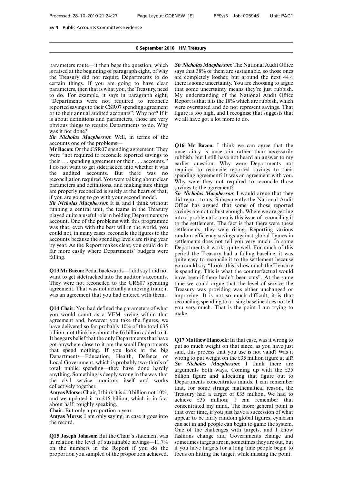parameters route—it then begs the question, which is raised at the beginning of paragraph eight, of why the Treasury did not require Departments to do certain things. If you are going to have clear parameters, then that is what you, the Treasury, need to do. For example, it says in paragraph eight, "Departments were not required to reconcile reported savings to their CSR07 spending agreement or to their annual audited accounts". Why not? If it is about definitions and parameters, those are very obvious things to require Departments to do. Why was it not done?

*Sir Nicholas Macpherson*: Well, in terms of the accounts one of the problems—

**Mr Bacon:** Or the CSR07 spending agreement. They were "not required to reconcile reported savings to their . . . spending agreement or their . . . accounts." I do not want to get sidetracked into whether it was the audited accounts. But there was no reconciliation required. You were talking about clear parameters and definitions, and making sure things are properly reconciled is surely at the heart of that, if you are going to go with your second model.

*Sir Nicholas Macpherson*: It is, and I think without running a central unit, the teams in the Treasury played quite a useful role in holding Departments to account. One of the problems with this programme was that, even with the best will in the world, you could not, in many cases, reconcile the figures to the accounts because the spending levels are rising year by year. As the Report makes clear, you could do it far more easily where Departments' budgets were falling.

**Q13 Mr Bacon:** Pedal backwards—I did say I did not want to get sidetracked into the auditor's accounts. They were not reconciled to the CRS07 spending agreement. That was not actually a moving train; it was an agreement that you had entered with them.

**Q14 Chair:** You had defined the parameters of what you would count as a VFM saving within that agreement and, however you take the figures, we have delivered so far probably 10% of the total £35 billion, not thinking about the £6 billion added to it. It beggars belief that the only Departments that have got anywhere close to it are the small Departments that spend nothing. If you look at the big Departments—Education, Health, Defence or Local Government, which is probably two-thirds of total public spending—they have done hardly anything. Something is deeply wrong in the way that the civil service monitors itself and works collectively together.

**Amyas Morse:** Chair, I think it is £10 billion not 10%, and we updated it to £15 billion, which is in fact about half, roughly speaking.

**Chair:** But only a proportion a year.

**Amyas Morse:** I am only saying, in case it goes into the record.

**Q15 Joseph Johnson:** But the Chair's statement was in relation the level of sustainable savings—11.7% on the numbers in the Report if you do the proportion you sampled of the proportion achieved. *Sir Nicholas Macpherson*: The National Audit Office says that 38% of them are sustainable, so those ones are completely kosher, but around the next 44% there is some uncertainty. You are choosing to argue that some uncertainty means they're just rubbish. My understanding of the National Audit Office Report is that it is the 18% which are rubbish, which were overstated and do not represent savings. That figure is too high, and I recognise that suggests that we all have got a lot more to do.

**Q16 Mr Bacon:** I think we can agree that the uncertainty is uncertain rather than necessarily rubbish, but I still have not heard an answer to my earlier question. Why were Departments not required to reconcile reported savings to their spending agreement? It was an agreement with you. Why were they not required to reconcile those savings to the agreement?

*Sir Nicholas Macpherson*: I would argue that they did report to us. Subsequently the National Audit Office has argued that some of those reported savings are not robust enough. Where we are getting into a problematic area is this issue of reconciling it to the settlement. The fact is that there were these settlements; they were rising. Reporting various random efficiency savings against global figures in settlements does not tell you very much. In some Departments it works quite well. For much of this period the Treasury had a falling baseline; it was quite easy to reconcile it to the settlement because you could say, "Look, this is how much the Treasury is spending. This is what the counterfactual would have been if there hadn't been cuts". At the same time we could argue that the level of service the Treasury was providing was either unchanged or improving. It is not so much difficult; it is that reconciling spending to a rising baseline does not tell you very much. That is the point I am trying to make.

**Q17 Matthew Hancock:** In that case, was it wrong to put so much weight on that since, as you have just said, this process that you use is not valid? Was it wrong to put weight on the £35 million figure at all? *Sir Nicholas Macpherson*: I think there are arguments both ways. Coming up with the £35 billion figure and allocating that figure out to Departments concentrates minds. I can remember that, for some strange mathematical reason, the Treasury had a target of £35 million. We had to achieve £35 million; I can remember that concentrated my mind. The more general point is that over time, if you just have a succession of what appear to be fairly random global figures, cynicism can set in and people can begin to game the system. One of the challenges with targets, and I know fashions change and Governments change and sometimes targets are in, sometimes they are out, but if you have targets for a long time people begin to focus on hitting the target, while missing the point.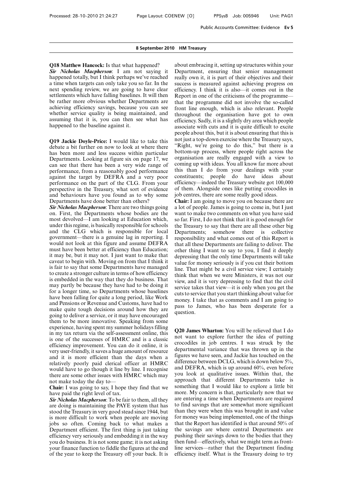**Q18 Matthew Hancock:** Is that what happened?

*Sir Nicholas Macpherson*: I am not saying it happened totally, but I think perhaps we've reached a time when targets can only take you so far. In the next spending review, we are going to have clear settlements which have falling baselines. It will then be rather more obvious whether Departments are achieving efficiency savings, because you can see whether service quality is being maintained, and assuming that it is, you can then see what has happened to the baseline against it.

**Q19 Jackie Doyle-Price:** I would like to take this debate a bit further on now to look at where there has been more and less success within particular Departments. Looking at figure six on page 17, we can see that there has been a very wide range of performance, from a reasonably good performance against the target by DEFRA and a very poor performance on the part of the CLG. From your perspective in the Treasury, what sort of evidence and behaviours have you found as to why some Departments have done better than others?

*Sir Nicholas Macpherson*: There are two things going on. First, the Departments whose bodies are the most devolved—I am looking at Education which, under this regime, is basically responsible for schools and the CLG which is responsible for local government—there is a genuine lag in reporting. I would not look at this figure and assume DEFRA must have been better at efficiency than Education; it may be, but it may not. I just want to make that caveat to begin with. Moving on from that I think it is fair to say that some Departments have managed to create a stronger culture in terms of how efficiency is embedded in the way that they do business. That may partly be because they have had to be doing it for a longer time, so Departments whose baselines have been falling for quite a long period, like Work and Pensions or Revenue and Customs, have had to make quite tough decisions around how they are going to deliver a service, or it may have encouraged them to be more innovative. Speaking from some experience, having spent my summer holidays filling in my tax return via the self-assessment online, this is one of the successes of HMRC and is a classic efficiency improvement. You can do it online, it is very user-friendly, it saves a huge amount of resource and it is more efficient than the days when a relatively poorly paid clerical officer at HMRC would have to go though it line by line. I recognise there are some other issues with HMRC which may not make today the day to—

**Chair:** I was going to say, I hope they find that we have paid the right level of tax.

*Sir Nicholas Macpherson*: To be fair to them, all they are doing is maintaining the PAYE system that has stood the Treasury in very good stead since 1944, but is more difficult to work when people are moving jobs so often. Coming back to what makes a Department efficient. The first thing is just taking efficiency very seriously and embedding it in the way you do business. It is not some game; it is not asking your finance function to fiddle the figures at the end of the year to keep the Treasury off your back. It is

about embracing it, setting up structures within your Department, ensuring that senior management really own it, it is part of their objectives and their success is measured against achieving progress on efficiency. I think it is also—it comes out in the Report in one of the criticisms of the programme that the programme did not involve the so-called front line enough, which is also relevant. People throughout the organisation have got to own efficiency. Sadly, it is a slightly dry area which people associate with cuts and it is quite difficult to excite people about this, but it is about ensuring that this is not just a top-down exercise where the Treasury says, "Right, we're going to do this," but there is a bottom-up process, where people right across the organisation are really engaged with a view to coming up with ideas. You all know far more about this than I do from your dealings with your constituents; people do have ideas about efficiency—indeed the Treasury website got 100,000 of them. Alongside ones like putting crocodiles in job centres, there are some really good ideas.

**Chair:** I am going to move you on because there are a lot of people. James is going to come in, but I just want to make two comments on what you have said so far. First, I do not think that it is good enough for the Treasury to say that there are all these other big Departments; somehow there is collective responsibility and what comes out of this Report is that all these Departments are failing to deliver. The other thing I want to say to you, I find it deeply depressing that the only time Departments will take value for money seriously is if you cut their bottom line. That might be a civil service view; I certainly think that when we were Ministers, it was not our view, and it is very depressing to find that the civil service takes that view—it is only when you get the cuts to service that you start thinking about value for money. I take that as comments and I am going to pass to James, who has been desperate for a question.

**Q20 James Wharton:** You will be relieved that I do not want to explore further the idea of putting crocodiles in job centres. I was struck by the departmental variance that was thrown up in the figures we have seen, and Jackie has touched on the difference between DCLG, which is down below 5%, and DEFRA, which is up around 60%, even before you look at qualitative issues. Within that, the approach that different Departments take is something that I would like to explore a little bit more. My concern is that, particularly now that we are entering a time when Departments are required to find savings that are somewhat more significant than they were when this was brought in and value for money was being implemented, one of the things that the Report has identified is that around 50% of the savings are where central Departments are pushing their savings down to the bodies that they then fund—effectively, what we might term as frontline services—rather that the Department finding efficiency itself. What is the Treasury doing to try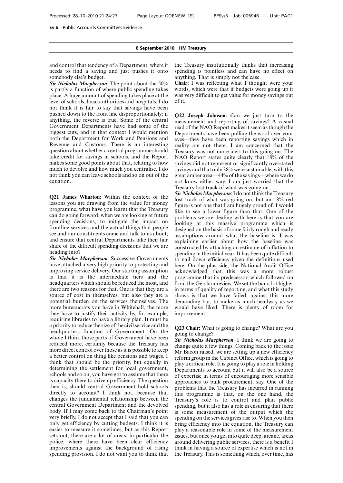and control that tendency of a Department, where it needs to find a saving and just pushes it onto somebody else's budget.

*Sir Nicholas Macpherson*: The point about the 50% is partly a function of where public spending takes place. A huge amount of spending takes place at the level of schools, local authorities and hospitals. I do not think it is fair to say that savings have been pushed down to the front line disproportionately; if anything, the reverse is true. Some of the central Government Departments have had some of the biggest cuts, and in that context I would mention both the Department for Work and Pensions and Revenue and Customs. There is an interesting question about whether a central programme should take credit for savings in schools, and the Report makes some good points about that, relating to how much to devolve and how much you centralise. I do not think you can leave schools and so on out of the equation.

**Q21 James Wharton:** Within the context of the lessons you are drawing from the value for money programme, what have you learnt that the Treasury can do going forward, when we are looking at future spending decisions, to mitigate the impact on frontline services and the actual things that people see and our constituents come and talk to us about, and ensure that central Departments take their fair share of the difficult spending decisions that we are heading into?

*Sir Nicholas Macpherson*: Successive Governments have attached a very high priority to protecting and improving service delivery. Our starting assumption is that it is the intermediate tiers and the headquarters which should be reduced the most, and there are two reasons for that. One is that they are a source of cost in themselves, but also they are a potential burden on the services themselves. The more bureaucrats you have in Whitehall, the more they have to justify their activity by, for example, requiring libraries to have a library plan. It must be a priority to reduce the size of the civil service and the headquarters function of Government. On the whole I think those parts of Government have been reduced more, certainly because the Treasury has more direct control over those as it is possible to keep a better control on thing like pensions and wages. I think that should be the priority, but equally in determining the settlement for local government, schools and so on, you have got to assume that there is capacity there to drive up efficiency. The question then is, should central Government hold schools directly to account? I think not, because that changes the fundamental relationship between the central Government Department and the devolved body. If I may come back to the Chairman's point very briefly, I do not accept that I said that you can only get efficiency by cutting budgets. I think it is easier to measure it sometimes, but as this Report sets out, there are a lot of areas, in particular the police, where there have been clear efficiency improvements against the background of rising spending provision. I do not want you to think that the Treasury institutionally thinks that increasing spending is pointless and can have no effect on anything. That is simply not the case.

**Chair:** I was reflecting what I thought were your words, which were that if budgets were going up it was very difficult to get value for money savings out of it.

**Q22 Joseph Johnson:** Can we just turn to the measurement and reporting of savings? A casual read of the NAO Report makes it seem as though the Departments have been pulling the wool over your eyes—they have been reporting savings which in reality are not there. I am concerned that the Treasury was not more alert to this going on. The NAO Report states quite clearly that 18% of the savings did not represent or significantly overstated savings and that only 38% were sustainable, with this great amber area—44% of the savings—where we do not know either way. I am just worried that the Treasury lost track of what was going on.

*Sir Nicholas Macpherson*: I do not think the Treasury lost track of what was going on, but an 18% red figure is not one that I am hugely proud of. I would like to see a lower figure than that. One of the problems we are dealing with here is that you are looking at this massive programme which is designed on the basis of some fairly rough and ready assumptions around what the baseline is. I was explaining earlier about how the baseline was constructed by attaching an estimate of inflation to spending in the initial year. It has been quite difficult to nail down efficiency given the definitions used here. On the plus side, the National Audit Office acknowledged that this was a more robust programme that its predecessor, which followed on from the Gershon review. We set the bar a lot higher in terms of quality of reporting, and what this study shows is that we have failed, against this more demanding bar, to make as much headway as we would have liked. There is plenty of room for improvement.

**Q23 Chair:** What is going to change? What are you going to change?

*Sir Nicholas Macpherson*: I think we are going to change quite a few things. Coming back to the issue Mr Bacon raised, we are setting up a new efficiency reform group in the Cabinet Office, which is going to play a critical role. It is going to play a role in holding Departments to account but it will also be a source of expertise in terms of encouraging more sensible approaches to bulk procurement, say. One of the problems that the Treasury has incurred in running this programme is that, on the one hand, the Treasury's role is to control and plan public spending, but it also has a role in ensuring that there is some measurement of the output which the spending on the services gives rise to. When you then bring efficiency into the equation, the Treasury can play a reasonable role in some of the measurement issues, but once you get into quite deep, arcane, areas around delivering public services, there is a benefit I think in having a source of expertise which is not in the Treasury. This is something which, over time, has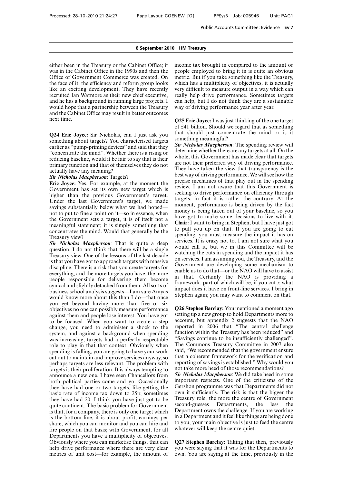either been in the Treasury or the Cabinet Office; it was in the Cabinet Office in the 1990s and then the Office of Government Commerce was created. On the face of it, the efficiency and reform group looks like an exciting development. They have recently recruited Ian Watmore as their new chief executive, and he has a background in running large projects. I would hope that a partnership between the Treasury and the Cabinet Office may result in better outcomes next time.

**Q24 Eric Joyce:** Sir Nicholas, can I just ask you something about targets? You characterised targets earlier as "pump-priming devices" and said that they "concentrate the mind". Whether there is a rising or reducing baseline, would it be fair to say that is their primary function and that of themselves they do not actually have any meaning?

#### *Sir Nicholas Macpherson*: Targets?

**Eric Joyce:** Yes. For example, at the moment the Government has set its own new target which is higher than the previous Government's target. Under the last Government's target, we made savings substantially below what we had hoped not to put to fine a point on it—so in essence, when the Government sets a target, it is of itself not a meaningful statement; it is simply something that concentrates the mind. Would that generally be the Treasury view?

*Sir Nicholas Macpherson*: That is quite a deep question. I do not think that there will be a single Treasury view. One of the lessons of the last decade is that you have got to approach targets with massive discipline. There is a risk that you create targets for everything, and the more targets you have, the more people responsible for delivering them become cynical and slightly detached from them. All sorts of business school analysis suggests—I am sure Amyas would know more about this than I do—that once you get beyond having more than five or six objectives no one can possibly measure performance against them and people lose interest. You have got to be focused. When you want to create a step change, you need to administer a shock to the system, and against a background when spending was increasing, targets had a perfectly respectable role to play in that that context. Obviously when spending is falling, you are going to have your work cut out to maintain and improve services anyway, so perhaps targets are less relevant. The problem with targets is their proliferation. It is always tempting to announce a new one. I have seen Chancellors from both political parties come and go. Occasionally they have had one or two targets, like getting the basic rate of income tax down to 25p; sometimes they have had 20. I think you have just got to be quite continent. The basic problem for Government is that, for a company, there is only one target which is the bottom line; it is about profit, earnings per share, which you can monitor and you can hire and fire people on that basis; with Government, for all Departments you have a multiplicity of objectives. Obviously where you can marketise things, that can help drive performance where there are very clear metrics of unit cost—for example, the amount of

income tax brought in compared to the amount or people employed to bring it in is quite an obvious metric. But if you take something like the Treasury, which has a multiplicity of objectives, it is actually very difficult to measure output in a way which can really help drive performance. Sometimes targets can help, but I do not think they are a sustainable way of driving performance year after year.

**Q25 Eric Joyce:** I was just thinking of the one target of £41 billion. Should we regard that as something that should just concentrate the mind or is it something meaningful?

*Sir Nicholas Macpherson*: The spending review will determine whether there are any targets at all. On the whole, this Government has made clear that targets are not their preferred way of driving performance. They have taken the view that transparency is the best way of driving performance. We will see how the precise mechanics of that play out in the spending review. I am not aware that this Government is seeking to drive performance on efficiency through targets; in fact it is rather the contrary. At the moment, performance is being driven by the fact money is being taken out of your baseline, so you have got to make some decisions to live with it. **Chair:** I want to bring in Stephen, but I have just got to pull you up on that. If you are going to cut spending, you must measure the impact it has on services. It is crazy not to. I am not sure what you would call it, but we in this Committee will be watching the cuts in spending and the impact it has on services. I am assuming you, the Treasury, and the Government are developing some mechanism to enable us to do that—or the NAO will have to assist in that. Certainly the NAO is providing a framework, part of which will be, if you cut *x* what impact does it have on front-line services. I bring in Stephen again; you may want to comment on that.

**Q26 Stephen Barclay:** You mentioned a moment ago setting up a new group to hold Departments more to account, but appendix 2 suggests that the NAO reported in 2006 that "The central challenge function within the Treasury has been reduced" and "Savings continue to be insufficiently challenged". The Commons Treasury Committee in 2007 also said, "We recommended that the government ensure that a coherent framework for the verification and reporting of savings is established." Why would you not take more heed of those recommendations? *Sir Nicholas Macpherson*: We did take heed in some important respects. One of the criticisms of the

Gershon programme was that Departments did not own it sufficiently. The risk is that the bigger the Treasury role, the more the centre of Government second-guesses Departments, the less the Department owns the challenge. If you are working in a Department and it feel like things are being done to you, your main objective is just to feed the centre whatever will keep the centre quiet.

**Q27 Stephen Barclay:** Taking that then, previously you were saying that it was for the Departments to own. You are saying at the time, previously in the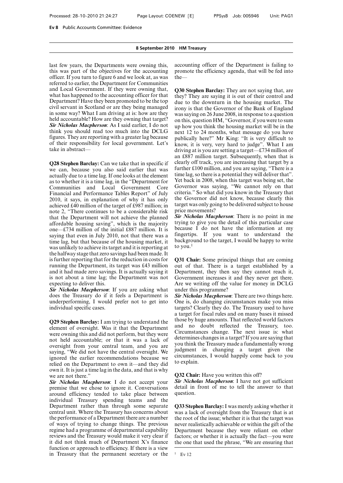last few years, the Departments were owning this, this was part of the objectives for the accounting officer. If you turn to figure 6 and we look at, as was referred to earlier, the Department for Communities and Local Government. If they were owning that, what has happened to the accounting officer for that Department? Have they been promoted to be the top civil servant in Scotland or are they being managed in some way? What I am driving at is: how are they held accountable? How are they owning that target? *Sir Nicholas Macpherson*: As I said earlier, I do not think you should read too much into the DCLG figures. They are reporting with a greater lag because of their responsibility for local government. Let's take in abstract—

**Q28 Stephen Barclay:** Can we take that in specific if we can, because you also said earlier that was actually due to a time lag. If one looks at the element as to whether it is a time lag, in the "Department for Communities and Local Government Core Financial and Performance Tables Report" of July 2010, it says, in explanation of why it has only achieved £40 million of the target of £987 million; in note 2, "There continues to be a considerable risk that the Department will not achieve the planned affordable housing saving", which is the majority one—£734 million of the initial £887 million. It is saying that even in July 2010, not that there was a time lag, but that because of the housing market, it was unlikely to achieve its target and it is reporting at the halfway stage that zero savings had been made. It is further reporting that for the reduction in costs for running the Department, its target was £43 million and it had made zero savings. It is actually saying it is not about a time lag; the Department was not expecting to deliver this.

*Sir Nicholas Macpherson*: If you are asking what does the Treasury do if it feels a Department is underperforming, I would prefer not to get into individual specific cases.

**Q29 Stephen Barclay:** I am trying to understand the element of oversight. Was it that the Department were owning this and did not perform, but they were not held accountable; or that it was a lack of oversight from your central team, and you are saying, "We did not have the central oversight. We ignored the earlier recommendations because we relied on the Department to own it—and they did own it. It is just a time lag in the data, and that is why we are not there."

*Sir Nicholas Macpherson*: I do not accept your premise that we chose to ignore it. Conversations around efficiency tended to take place between individual Treasury spending teams and the Department rather than through some separate central unit. Where the Treasury has concerns about the performance of a Department there are a number of ways of trying to change things. The previous regime had a programme of departmental capability reviews and the Treasury would make it very clear if it did not think much of Department X's finance function or approach to efficiency. If there is a view in Treasury that the permanent secretary or the accounting officer of the Department is failing to promote the efficiency agenda, that will be fed into the—

**Q30 Stephen Barclay:** They are not saying that, are they? They are saying it is out of their control and due to the downturn in the housing market. The irony is that the Governor of the Bank of England was saying on 26 June 2008, in response to a question on this, question HM, "Governor, if you were to sum up how you think the housing market will be in the next 12 to 24 months, what message do you have publically here?" Mr King: "It is very difficult to know, it is very, very hard to judge". What I am driving at is you are setting a target—£734 million of an £887 million target. Subsequently, when that is clearly off track, you are increasing that target by a further £100 million, and you are saying, "There is a time lag, so there is a potential they will deliver that". Yet back in 2008, when this target was being set, the Governor was saying, "We cannot rely on that criteria." So what did you know in the Treasury that the Governor did not know, because clearly this target was only going to be delivered subject to house price movements?

*Sir Nicholas Macpherson*: There is no point in me trying to give you the detail of this particular case because I do not have the information at my fingertips. If you want to understand the background to the target, I would be happy to write to you. $<sup>1</sup>$ </sup>

**Q31 Chair:** Some principal things that are coming out of that. There is a target established by a Department, they then say they cannot reach it, Government increases it and they never get there. Are we writing off the value for money in DCLG under this programme?

*Sir Nicholas Macpherson*: There are two things here. One is, do changing circumstances make you miss targets? Clearly they do. The Treasury used to have a target for fiscal rules and on many bases it missed those by huge amounts. That reflected world factors and no doubt reflected the Treasury, too. Circumstances change. The next issue is: what determines changes in a target? If you are saying that you think the Treasury made a fundamentally wrong judgment in changing a target given the circumstances, I would happily come back to you to explain.

**Q32 Chair:** Have you written this off?

*Sir Nicholas Macpherson*: I have not got sufficient detail in front of me to tell the answer to that question.

**Q33 Stephen Barclay:** I was merely asking whether it was a lack of oversight from the Treasury that is at the root of the issue; whether it is that the target was never realistically achievable or within the gift of the Department because they were reliant on other factors; or whether it is actually the fact—you were the one that used the phrase, "We are ensuring that

 $1$  Ev 12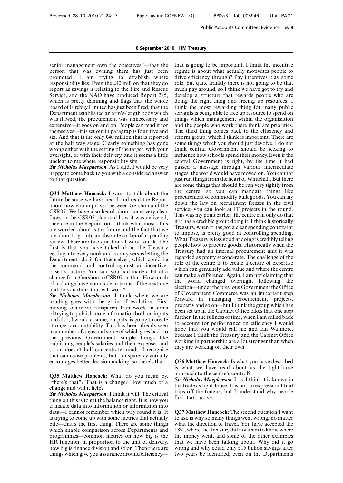senior management own the objectives"—that the person that was owning them has just been promoted. I am trying to establish where responsibility lies. Even the £40 million that they do report as savings is relating to the Fire and Rescue Service, and the NAO have produced Report 285, which is pretty damning and flags that the whole board of Firebuy Limited has just been fired; that the Department established an arm's-length body which was flawed; the procurement was unnecessary and expensive—it goes on and on. People can read it for themselves—it is set out in paragraphs four, five and six. And that is the only £40 million that is reported at the half way stage. Clearly something has gone wrong either with the setting of the target, with your oversight, or with their delivery, and it seems a little unclear to me where responsibility sits.

*Sir Nicholas Macpherson*: As I said, I would be very happy to come back to you with a considered answer to that question.

**Q34 Matthew Hancock:** I want to talk about the future because we have heard and read the Report about how you improved between Gershon and the CSR07. We have also heard about some very clear flaws in the CSR07 plan and how it was delivered; they are in the Report too. I think what most of us are worried about is the future and the fact that we are about to go into an absolute corker of a spending review. There are two questions I want to ask. The first is that you have talked about the Treasury getting into every nook and cranny versus letting the Departments do it for themselves, which could be the command and control against an incentivebased structure. You said you had made a bit of a change from Gershon to CSR07 on that. How much of a change have you made in terms of the next one and do you think that will work?

*Sir Nicholas Macpherson*: I think where we are heading goes with the grain of evolution. First moving to a more transparent framework, in terms of trying to publish more information both on inputs and also, I would assume, outputs, is going to create stronger accountability. This has been already seen in a number of areas and some of which goes back to the previous Government—simple things like publishing people's salaries and their expenses and so on doesn't half concentrate minds. I recognise that can cause problems, but transparency actually encourages better decision making, so there's that.

**Q35 Matthew Hancock:** What do you mean by, "there's that"? That is a change? How much of a change and will it help?

*Sir Nicholas Macpherson*: I think it will. The critical thing on this is to get the balance right. It is how you translate data into information or information into data—I cannot remember which way round it is. It is trying to come up with some metrics that actually bite—that's the first thing. There are some things which enable comparison across Departments and programmes—common metrics on how big is the HR function, in proportion to the unit of delivery, how big is finance division and so on. Then there are things which give you assurance around efficiency—

that is going to be important. I think the incentive regime is about what actually motivates people to drive efficiency through? Pay incentives play some role, but quite frankly there is not going to be that much pay around, so I think we have got to try and develop a structure that rewards people who are doing the right thing and freeing up resources. I think the most rewarding thing for many public servants is being able to free up resource to spend on things which management within the organisation and the people who work there think are priorities. The third thing comes back to the efficiency and reform group, which I think is important. There are some things which you should just devolve. I do not think central Government should be seeking to influence how schools spend their money. Even if the central Government is right, by the time it had passed a message through various intermediate stages, the world would have moved on. You cannot just run things from the heart of Whitehall. But there are some things that should be run very tightly from the centre, so you can mandate things like procurement of commodity bulk goods. You can lay down the law on recruitment freezes in the civil service; you can look at IT projects in the round. This was my point earlier: the centre can only do that if it has a credible group doing it. I think historically Treasury, when it has got a clear spending constraint to impose, is pretty good at controlling spending. What Treasury is less good at doing is credibly telling people how to procure goods. Historically when the Treasury had an internal procurement unit it was regarded as pretty second-rate. The challenge of the role of the centre is to create a centre of expertise which can genuinely add value and where the centre can make a difference. Again, I am not claiming that the world changed overnight following the election—under the previous Government the Office of Government Commerce was an important step forward in managing procurement, projects, property and so on—but I think the group which has been set up in the Cabinet Office takes that one step further. In the fullness of time, when I am called back to account for performance on efficiency I would hope that you would call me and Ian Watmore, because I think the Treasury and the Cabinet Office working in partnership are a lot stronger than when they are working on their own.

**Q36 Matthew Hancock:** Is what you have described is what we have read about as the tight-loose approach to the centre's control?

*Sir Nicholas Macpherson*: It is. I think it is known in the trade as tight-loose. It is not an expression I find trips off the tongue, but I understand why people find it attractive.

**Q37 Matthew Hancock:** The second question I want to ask is why so many things went wrong, no matter what the direction of travel. You have accepted the 18%, where the Treasury did not seem to know where the money went, and some of the other examples that we have been talking about. Why did it go wrong and why could only £15 billion savings after two years be identified, even on the Departments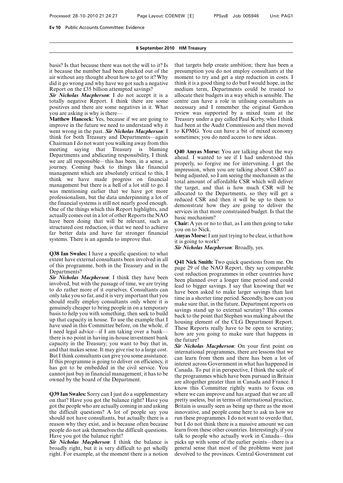basis? Is that because there was not the will to it? Is it because the number had been plucked out of the air without any thought about how to get to it? Why did it go wrong and why have we got such a negative Report on the £35 billion attempted savings?

*Sir Nicholas Macpherson*: I do not accept it is a totally negative Report. I think there are some positives and there are some negatives in it. What you are asking is why is there—

**Matthew Hancock:** Yes, because if we are going to improve in the future we need to understand why it went wrong in the past. *Sir Nicholas Macpherson*: I think for both Treasury and Departments—again Chairman I do not want you walking away from this meeting saying that Treasury is blaming Departments and abdicating responsibility, I think we are all responsible—this has been, in a sense, a journey. Coming back to things like financial management which are absolutely critical to this, I think we have made progress on financial management but there is a hell of a lot still to go. I was mentioning earlier that we have got more professionalism, but the data underpinning a lot of the financial systems is still not nearly good enough. One of the things which this Report highlights, and actually comes out in a lot of other Reports the NAO have been doing that will be relevant, such as structured cost reduction, is that we need to achieve far better data and have far stronger financial systems. There is an agenda to improve that.

**Q38 Ian Swales:** I have a specific question: to what extent have external consultants been involved in all of this programme, both in the Treasury and in the Departments?

*Sir Nicholas Macpherson*: I think they have been involved, but with the passage of time, we are trying to do rather more of it ourselves. Consultants can only take you so far, and it is very important that you should really employ consultants only where it is genuinely cheaper to bring people in on a temporary basis to help you with something, then seek to build up that capacity in house. To use the example that I have used in this Committee before, on the whole, if I need legal advice—if I am taking over a bank there is no point in having in-house investment bank capacity in the Treasury; you want to buy that in, and that makes sense. It may give rise to a large cost. But I think consultants can give you some assistance. If this programme is going to deliver on efficiency, it has got to be embedded in the civil service. You cannot just buy in financial management; it has to be owned by the board of the Department.

**Q39 Ian Swales:** Sorry can I just do a supplementary on that? Have you got the balance right? Have you got the people who are actually coming in and asking the difficult questions? A lot of people say you should not have consultants, but actually there is a reason why they exist, and is because often because people do not ask themselves the difficult questions. Have you got the balance right?

*Sir Nicholas Macpherson*: I think the balance is broadly right, but it is very difficult to get wholly right. For example, at the moment there is a notion

that targets help create ambition; there has been a presumption you do not employ consultants at the moment to try and get a step reduction in costs. I think it is a good thing to do but I would hope, in the medium term, Departments could be trusted to allocate their budgets in a way which is sensible. The centre can have a role in utilising consultants as necessary and I remember the original Gershon review was supported by a mixed team at the Treasury under a guy called Paul Kirby, who I think had been at the Audit Commission and then moved to KPMG. You can have a bit of mixed economy sometimes; you do need access to new ideas.

**Q40 Amyas Morse:** You are talking about the way ahead. I wanted to see if I had understood this properly, so forgive me for intervening. I get the impression, when you are talking about CSR07 as being adjusted, so I am seeing the mechanism as the total amount of affordable CSR which will deliver the target, and that is how much CSR will be allocated to the Departments, so they will get a reduced CSR and then it will be up to them to demonstrate how they are going to deliver the services in that more constrained budget. Is that the basic mechanism?

**Chair:** A yes or no to that, as I am then going to take you on to Nick.

**Amyas Morse:**I am just trying to be clear, is that how it is going to work?

*Sir Nicholas Macpherson*: Broadly, yes.

**Q41 Nick Smith:** Two quick questions from me. On page 29 of the NAO Report, they say comparable cost reduction programmes in other countries have been planned over a longer time period and could lead to bigger savings. I say that knowing that we have been asked to make larger savings than last time in a shorter time period. Secondly, how can you make sure that, in the future, Department reports on savings stand up to external scrutiny? This comes back to the point that Stephen was making about the housing element of the CLG Department Report. These Reports really have to be open to scrutiny; how are you going to make sure that happens in the future?

*Sir Nicholas Macpherson*: On your first point on international programmes, there are lessons that we can learn from them and there has been a lot of interest across Government in what has happened in Canada. To put it in perspective, I think the scale of the programmes which have been pursued in Britain are altogether greater than in Canada and France. I know this Committee rightly wants to focus on where we can improve and has argued that we are all pretty useless, but in terms of international practice, Britain is usually seen as being up there as the most innovative, and people come here to ask us how we run these programmes. I do not want to overdo that, but I do not think there is a massive amount we can learn from these other countries. Interestingly, if you talk to people who actually work in Canada—this picks up with some of the earlier points—there is a general sense that most of the problems were just devolved to the provinces. Central Government cut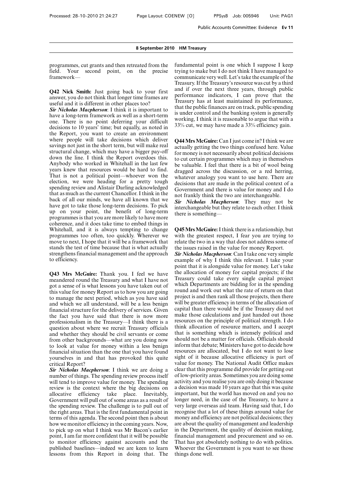programmes, cut grants and then retreated from the field. Your second point, on the precise framework—

**Q42 Nick Smith:** Just going back to your first answer, you do not think that longer time frames are useful and it is different in other places too?

*Sir Nicholas Macpherson*: I think it is important to have a long-term framework as well as a short-term one. There is no point deferring your difficult decisions to 10 years' time; but equally, as noted in the Report, you want to create an environment where people will take decisions which deliver savings not just in the short term, but will make real structural change, which may have a bigger pay-off down the line. I think the Report overdoes this. Anybody who worked in Whitehall in the last few years knew that resources would be hard to find. That is not a political point—whoever won the election, we were heading for a pretty tough spending review and Alistair Darling acknowledged that as much as the current Chancellor. I think in the back of all our minds, we have all known that we have got to take those long-term decisions. To pick up on your point, the benefit of long-term programmes is that you are more likely to have more coherence, and it does take time to embed things in Whitehall, and it is always tempting to change programmes too often, too quickly. Wherever we move to next, I hope that it will be a framework that stands the test of time because that is what actually strengthens financial management and the approach to efficiency.

**Q43 Mrs McGuire:** Thank you. I feel we have meandered round the Treasury and what I have not got a sense of is what lessons you have taken out of this value for money Report as to how you are going to manage the next period, which as you have said and which we all understand, will be a less benign financial structure for the delivery of services. Given the fact you have said that there is now more professionalism in the Treasury—I think there is a question about where we recruit Treasury officials and whether they should be civil servants or come from other backgrounds—what are you doing now to look at value for money within a less benign financial situation than the one that you have found yourselves in and that has provoked this quite critical Report?

*Sir Nicholas Macpherson*: I think we are doing a number of things. The spending review process itself will tend to improve value for money. The spending review is the context where the big decisions on allocative efficiency take place. Inevitably, Government will pull out of some areas as a result of the spending review. The challenge is to pull out of the right areas. That is the first fundamental point in terms of this agenda. The second point then is about how we monitor efficiency in the coming years. Now, to pick up on what I think was Mr Bacon's earlier point, I am far more confident that it will be possible to monitor efficiency against accounts and the published baselines—indeed we are keen to learn lessons from this Report in doing that. The

fundamental point is one which I suppose I keep trying to make but I do not think I have managed to communicate very well. Let's take the example of the Treasury. If the Treasury's resource was cut by a third and if over the next three years, through public performance indicators, I can prove that the Treasury has at least maintained its performance, that the public finances are on track, public spending is under control and the banking system is generally working, I think it is reasonable to argue that with a 33% cut, we may have made a 33% efficiency gain.

**Q44 Mrs McGuire:** Can I just come in? I think we are actually getting the two things confused here. Value for money is not necessarily about political decisions to cut certain programmes which may in themselves be valuable. I feel that there is a bit of wool being dragged across the discussion, or a red herring, whatever analogy you want to use here. There are decisions that are made in the political context of a Government and there is value for money and I do not frankly think the two are interchangeable.

*Sir Nicholas Macpherson*: They may not be interchangeable but they relate to each other. I think there is something—

**Q45 Mrs McGuire:**I think there is a relationship, but with the greatest respect, I fear you are trying to relate the two in a way that does not address some of the issues raised in the value for money Report.

*Sir Nicholas Macpherson*: Can I take one very simple example of why I think this relevant. I take your point that it is alongside value for money. Let's take the allocation of money for capital projects; if the Treasury could take every single capital project which Departments are bidding for in the spending round and work out what the rate of return on that project is and then rank all those projects, then there will be greater efficiency in terms of the allocation of capital than there would be if the Treasury did not make those calculations and just handed out those resources on the principle of political strength. I do think allocation of resource matters, and I accept that is something which is intensely political and should not be a matter for officials. Officials should inform that debate; Ministers have got to decide how resources are allocated, but I do not want to lose sight of it because allocative efficiency is part of value for money. The National Audit Office makes clear that this programme did provide for getting out of low-priority areas. Sometimes you are doing some activity and you realise you are only doing it because a decision was made 10 years ago that this was quite important, but the world has moved on and you no longer need, in the case of the Treasury, to have a very large overseas aid team. Having said that, I do recognise that a lot of these things around value for money and efficiency are not political decisions; they are about the quality of management and leadership in the Department, the quality of decision making, financial management and procurement and so on. That has got absolutely nothing to do with politics. Whoever the Government is you want to see those things done well.